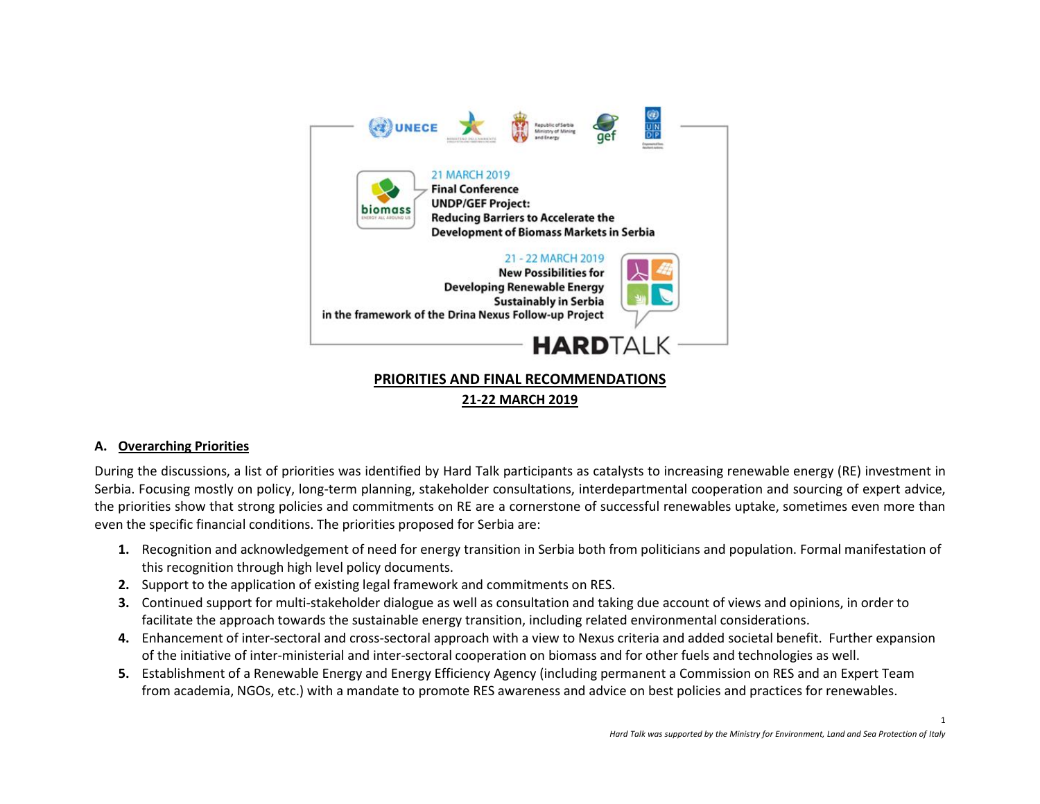

# **21-22 MARCH 2019**

#### **A. Overarching Priorities**

During the discussions, a list of priorities was identified by Hard Talk participants as catalysts to increasing renewable energy (RE) investment in Serbia. Focusing mostly on policy, long-term planning, stakeholder consultations, interdepartmental cooperation and sourcing of expert advice, the priorities show that strong policies and commitments on RE are a cornerstone of successful renewables uptake, sometimes even more than even the specific financial conditions. The priorities proposed for Serbia are:

- **1.** Recognition and acknowledgement of need for energy transition in Serbia both from politicians and population. Formal manifestation of this recognition through high level policy documents.
- **2.** Support to the application of existing legal framework and commitments on RES.
- **3.** Continued support for multi-stakeholder dialogue as well as consultation and taking due account of views and opinions, in order to facilitate the approach towards the sustainable energy transition, including related environmental considerations.
- **4.** Enhancement of inter-sectoral and cross-sectoral approach with a view to Nexus criteria and added societal benefit. Further expansion of the initiative of inter-ministerial and inter-sectoral cooperation on biomass and for other fuels and technologies as well.
- **5.** Establishment of a Renewable Energy and Energy Efficiency Agency (including permanent a Commission on RES and an Expert Team from academia, NGOs, etc.) with a mandate to promote RES awareness and advice on best policies and practices for renewables.

1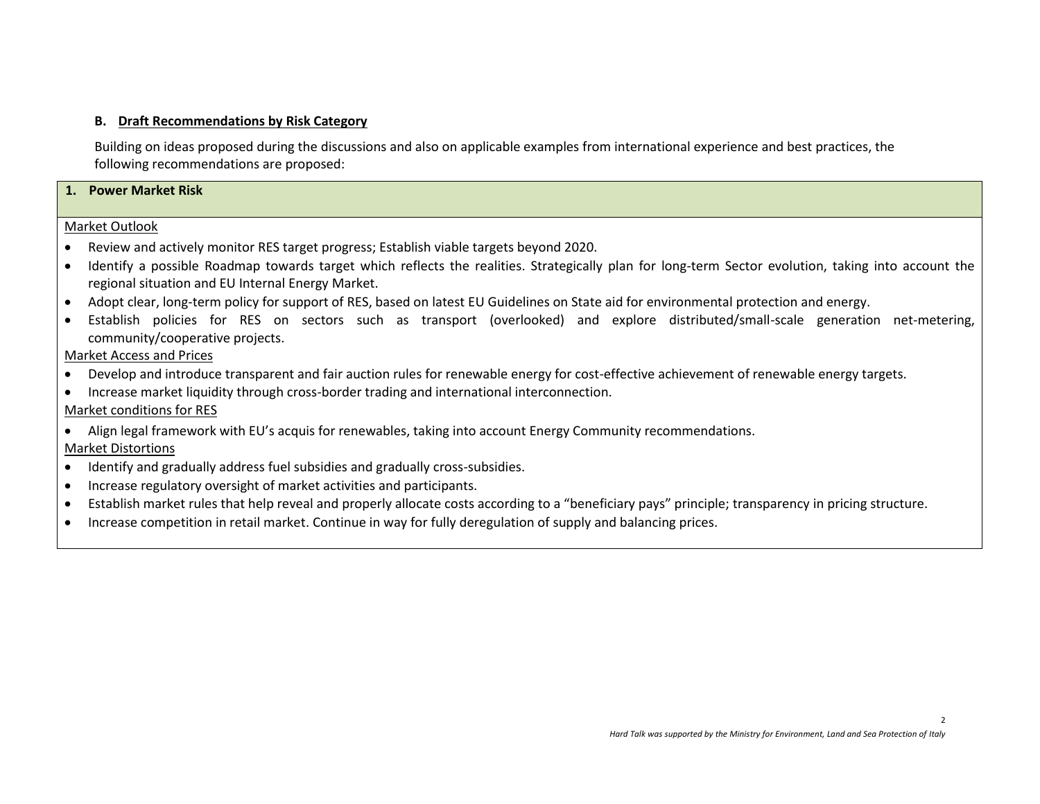### **B. Draft Recommendations by Risk Category**

Building on ideas proposed during the discussions and also on applicable examples from international experience and best practices, the following recommendations are proposed:

#### **1. Power Market Risk**

#### Market Outlook

- Review and actively monitor RES target progress; Establish viable targets beyond 2020.
- Identify a possible Roadmap towards target which reflects the realities. Strategically plan for long-term Sector evolution, taking into account the regional situation and EU Internal Energy Market.
- Adopt clear, long-term policy for support of RES, based on latest EU Guidelines on State aid for environmental protection and energy.
- Establish policies for RES on sectors such as transport (overlooked) and explore distributed/small-scale generation net-metering, community/cooperative projects.

### Market Access and Prices

- Develop and introduce transparent and fair auction rules for renewable energy for cost-effective achievement of renewable energy targets.
- Increase market liquidity through cross-border trading and international interconnection.

### Market conditions for RES

• Align legal framework with EU's acquis for renewables, taking into account Energy Community recommendations.

### Market Distortions

- Identify and gradually address fuel subsidies and gradually cross-subsidies.
- Increase regulatory oversight of market activities and participants.
- Establish market rules that help reveal and properly allocate costs according to a "beneficiary pays" principle; transparency in pricing structure.
- Increase competition in retail market. Continue in way for fully deregulation of supply and balancing prices.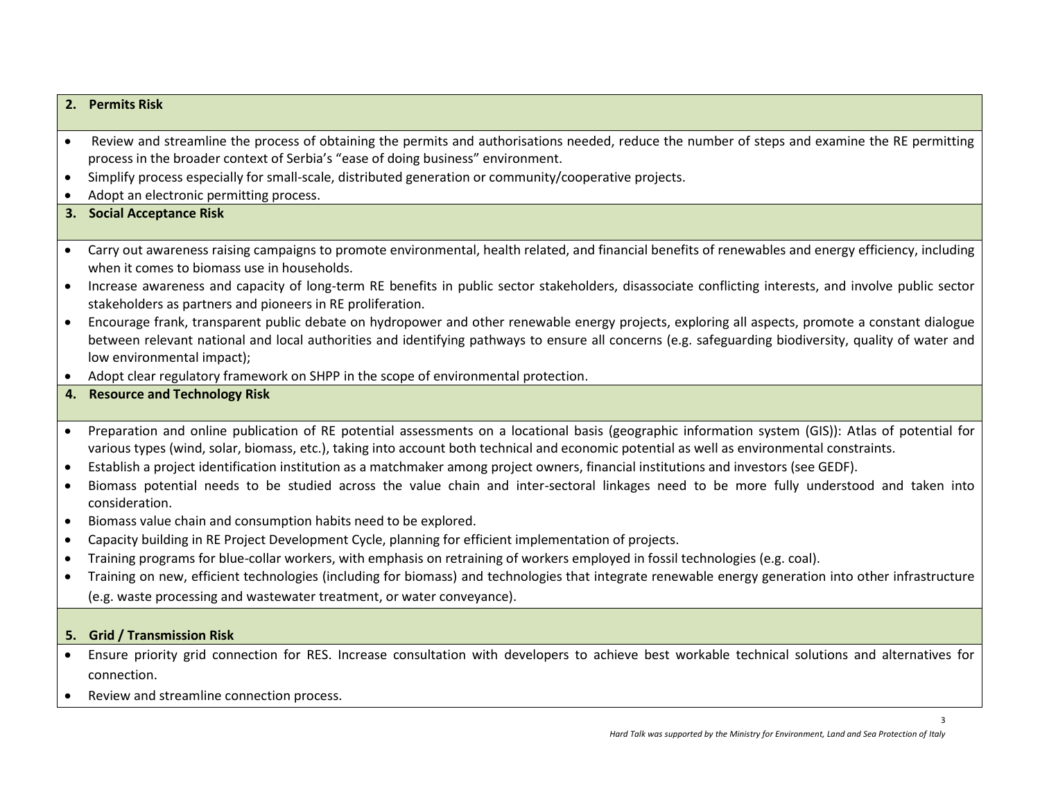#### **2. Permits Risk**

- Review and streamline the process of obtaining the permits and authorisations needed, reduce the number of steps and examine the RE permitting process in the broader context of Serbia's "ease of doing business" environment.
- Simplify process especially for small-scale, distributed generation or community/cooperative projects.
- Adopt an electronic permitting process.

### **3. Social Acceptance Risk**

- Carry out awareness raising campaigns to promote environmental, health related, and financial benefits of renewables and energy efficiency, including when it comes to biomass use in households.
- Increase awareness and capacity of long-term RE benefits in public sector stakeholders, disassociate conflicting interests, and involve public sector stakeholders as partners and pioneers in RE proliferation.
- Encourage frank, transparent public debate on hydropower and other renewable energy projects, exploring all aspects, promote a constant dialogue between relevant national and local authorities and identifying pathways to ensure all concerns (e.g. safeguarding biodiversity, quality of water and low environmental impact);
- Adopt clear regulatory framework on SHPP in the scope of environmental protection.

# **4. Resource and Technology Risk**

- Preparation and online publication of RE potential assessments on a locational basis (geographic information system (GIS)): Atlas of potential for various types (wind, solar, biomass, etc.), taking into account both technical and economic potential as well as environmental constraints.
- Establish a project identification institution as a matchmaker among project owners, financial institutions and investors (see GEDF).
- Biomass potential needs to be studied across the value chain and inter-sectoral linkages need to be more fully understood and taken into consideration.
- Biomass value chain and consumption habits need to be explored.
- Capacity building in RE Project Development Cycle, planning for efficient implementation of projects.
- Training programs for blue-collar workers, with emphasis on retraining of workers employed in fossil technologies (e.g. coal).
- Training on new, efficient technologies (including for biomass) and technologies that integrate renewable energy generation into other infrastructure (e.g. waste processing and wastewater treatment, or water conveyance).

#### **5. Grid / Transmission Risk**

- Ensure priority grid connection for RES. Increase consultation with developers to achieve best workable technical solutions and alternatives for connection.
- Review and streamline connection process.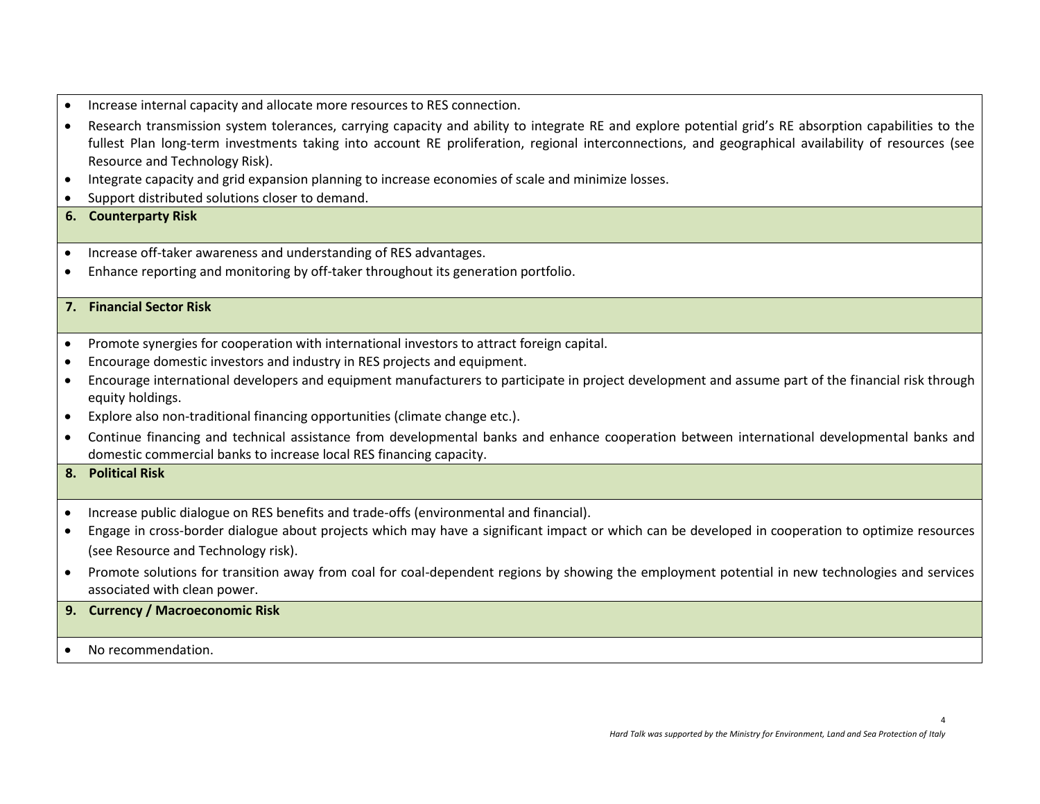- Increase internal capacity and allocate more resources to RES connection.
- Research transmission system tolerances, carrying capacity and ability to integrate RE and explore potential grid's RE absorption capabilities to the fullest Plan long-term investments taking into account RE proliferation, regional interconnections, and geographical availability of resources (see Resource and Technology Risk).
- Integrate capacity and grid expansion planning to increase economies of scale and minimize losses.
- Support distributed solutions closer to demand.

# **6. Counterparty Risk**

- Increase off-taker awareness and understanding of RES advantages.
- Enhance reporting and monitoring by off-taker throughout its generation portfolio.

# **7. Financial Sector Risk**

- Promote synergies for cooperation with international investors to attract foreign capital.
- Encourage domestic investors and industry in RES projects and equipment.
- Encourage international developers and equipment manufacturers to participate in project development and assume part of the financial risk through equity holdings.
- Explore also non-traditional financing opportunities (climate change etc.).
- Continue financing and technical assistance from developmental banks and enhance cooperation between international developmental banks and domestic commercial banks to increase local RES financing capacity.

# **8. Political Risk**

- Increase public dialogue on RES benefits and trade-offs (environmental and financial).
- Engage in cross-border dialogue about projects which may have a significant impact or which can be developed in cooperation to optimize resources (see Resource and Technology risk).
- Promote solutions for transition away from coal for coal-dependent regions by showing the employment potential in new technologies and services associated with clean power.
- **9. Currency / Macroeconomic Risk**
- No recommendation.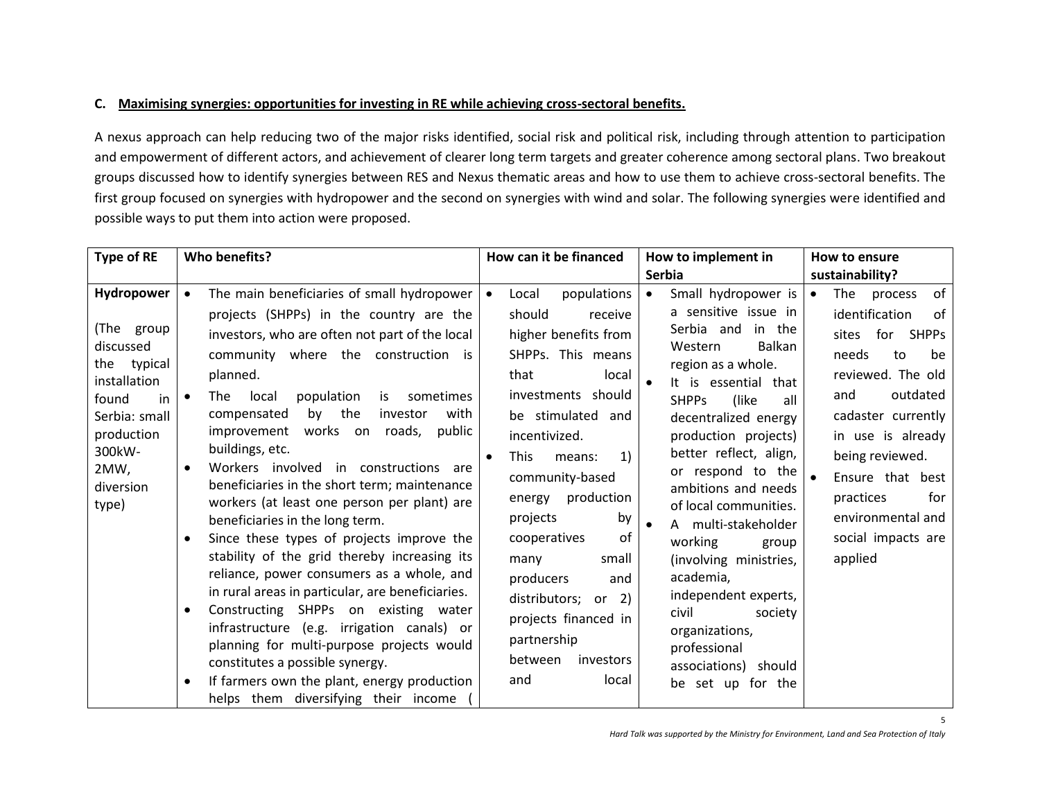# **C. Maximising synergies: opportunities for investing in RE while achieving cross-sectoral benefits.**

A nexus approach can help reducing two of the major risks identified, social risk and political risk, including through attention to participation and empowerment of different actors, and achievement of clearer long term targets and greater coherence among sectoral plans. Two breakout groups discussed how to identify synergies between RES and Nexus thematic areas and how to use them to achieve cross-sectoral benefits. The first group focused on synergies with hydropower and the second on synergies with wind and solar. The following synergies were identified and possible ways to put them into action were proposed.

| Type of RE                                                                                                                                                 | Who benefits?                                                                                                                                                                                                                                                                                                                                                                                                                                                                                                                                                                                                                                                                                                                                                                                                                                                                                                                                                                                                                                                               | How can it be financed                                                                                                                                                                                                                                                                                                                                                                                                           | How to implement in                                                                                                                                                                                                                                                                                                                                                                                                                                                                                                                                 | How to ensure                                                                                                                                                                                                                                                                                         |
|------------------------------------------------------------------------------------------------------------------------------------------------------------|-----------------------------------------------------------------------------------------------------------------------------------------------------------------------------------------------------------------------------------------------------------------------------------------------------------------------------------------------------------------------------------------------------------------------------------------------------------------------------------------------------------------------------------------------------------------------------------------------------------------------------------------------------------------------------------------------------------------------------------------------------------------------------------------------------------------------------------------------------------------------------------------------------------------------------------------------------------------------------------------------------------------------------------------------------------------------------|----------------------------------------------------------------------------------------------------------------------------------------------------------------------------------------------------------------------------------------------------------------------------------------------------------------------------------------------------------------------------------------------------------------------------------|-----------------------------------------------------------------------------------------------------------------------------------------------------------------------------------------------------------------------------------------------------------------------------------------------------------------------------------------------------------------------------------------------------------------------------------------------------------------------------------------------------------------------------------------------------|-------------------------------------------------------------------------------------------------------------------------------------------------------------------------------------------------------------------------------------------------------------------------------------------------------|
|                                                                                                                                                            |                                                                                                                                                                                                                                                                                                                                                                                                                                                                                                                                                                                                                                                                                                                                                                                                                                                                                                                                                                                                                                                                             |                                                                                                                                                                                                                                                                                                                                                                                                                                  | <b>Serbia</b>                                                                                                                                                                                                                                                                                                                                                                                                                                                                                                                                       | sustainability?                                                                                                                                                                                                                                                                                       |
| Hydropower<br>(The group<br>discussed<br>the typical<br>installation<br>found<br>in<br>Serbia: small<br>production<br>300kW-<br>2MW,<br>diversion<br>type) | The main beneficiaries of small hydropower<br>$\bullet$<br>projects (SHPPs) in the country are the<br>investors, who are often not part of the local<br>community where the construction is<br>planned.<br>local<br>population<br>is<br>sometimes<br>The<br>$\bullet$<br>by the<br>with<br>compensated<br>investor<br>works on roads,<br>public<br>improvement<br>buildings, etc.<br>Workers involved in constructions are<br>$\bullet$<br>beneficiaries in the short term; maintenance<br>workers (at least one person per plant) are<br>beneficiaries in the long term.<br>Since these types of projects improve the<br>$\bullet$<br>stability of the grid thereby increasing its<br>reliance, power consumers as a whole, and<br>in rural areas in particular, are beneficiaries.<br>Constructing SHPPs on existing water<br>$\bullet$<br>infrastructure (e.g. irrigation canals) or<br>planning for multi-purpose projects would<br>constitutes a possible synergy.<br>If farmers own the plant, energy production<br>$\bullet$<br>helps them diversifying their income | populations<br>Local<br>should<br>receive<br>higher benefits from<br>SHPPs. This means<br>that<br>local<br>investments should<br>be stimulated and<br>incentivized.<br>1)<br><b>This</b><br>means:<br>community-based<br>production<br>energy<br>projects<br>by<br>of<br>cooperatives<br>small<br>many<br>producers<br>and<br>distributors; or 2)<br>projects financed in<br>partnership<br>between<br>investors<br>local<br>and | Small hydropower is<br>$\bullet$<br>a sensitive issue in<br>Serbia and in the<br>Western<br><b>Balkan</b><br>region as a whole.<br>It is essential that<br><b>SHPPs</b><br>(like<br>all<br>decentralized energy<br>production projects)<br>better reflect, align,<br>or respond to the<br>ambitions and needs<br>of local communities.<br>A multi-stakeholder<br>working<br>group<br>(involving ministries,<br>academia,<br>independent experts,<br>civil<br>society<br>organizations,<br>professional<br>associations) should<br>be set up for the | of<br>The<br>$\bullet$<br>process<br>identification<br>of<br>sites for SHPPs<br>needs<br>be<br>to<br>reviewed. The old<br>outdated<br>and<br>cadaster currently<br>in use is already<br>being reviewed.<br>Ensure that best<br>practices<br>for<br>environmental and<br>social impacts are<br>applied |

5

*Hard Talk was supported by the Ministry for Environment, Land and Sea Protection of Italy*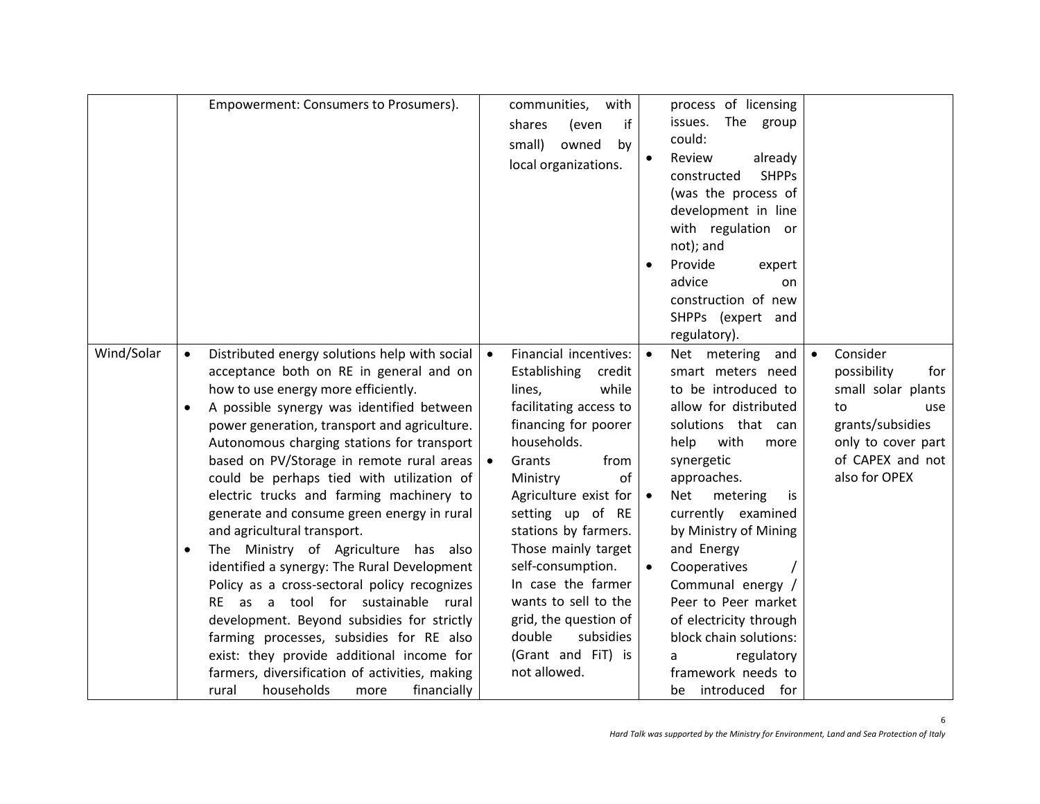|            | Empowerment: Consumers to Prosumers).                                                                                                                                                                                                                                                                                                                                                                                                                                                                                                                                                                                                                                                                                                                                                                                                                                                                                                                    | communities, with<br>if<br>shares<br>(even<br>small)<br>owned<br>by<br>local organizations.                                                                                                                                                                                                                                                                                                                                                                     | process of licensing<br>issues. The group<br>could:<br>Review<br>already<br><b>SHPPs</b><br>constructed<br>(was the process of<br>development in line<br>with regulation or<br>not); and<br>Provide<br>expert<br>$\bullet$<br>advice<br>on<br>construction of new<br>SHPPs (expert and<br>regulatory).                                                                                                                                                |                                                                                                                                                  |
|------------|----------------------------------------------------------------------------------------------------------------------------------------------------------------------------------------------------------------------------------------------------------------------------------------------------------------------------------------------------------------------------------------------------------------------------------------------------------------------------------------------------------------------------------------------------------------------------------------------------------------------------------------------------------------------------------------------------------------------------------------------------------------------------------------------------------------------------------------------------------------------------------------------------------------------------------------------------------|-----------------------------------------------------------------------------------------------------------------------------------------------------------------------------------------------------------------------------------------------------------------------------------------------------------------------------------------------------------------------------------------------------------------------------------------------------------------|-------------------------------------------------------------------------------------------------------------------------------------------------------------------------------------------------------------------------------------------------------------------------------------------------------------------------------------------------------------------------------------------------------------------------------------------------------|--------------------------------------------------------------------------------------------------------------------------------------------------|
| Wind/Solar | Distributed energy solutions help with social<br>$\bullet$<br>acceptance both on RE in general and on<br>how to use energy more efficiently.<br>A possible synergy was identified between<br>$\bullet$<br>power generation, transport and agriculture.<br>Autonomous charging stations for transport<br>based on PV/Storage in remote rural areas<br>could be perhaps tied with utilization of<br>electric trucks and farming machinery to<br>generate and consume green energy in rural<br>and agricultural transport.<br>The Ministry of Agriculture has also<br>$\bullet$<br>identified a synergy: The Rural Development<br>Policy as a cross-sectoral policy recognizes<br>RE as a tool for sustainable rural<br>development. Beyond subsidies for strictly<br>farming processes, subsidies for RE also<br>exist: they provide additional income for<br>farmers, diversification of activities, making<br>households<br>financially<br>rural<br>more | Financial incentives:<br>$\bullet$<br>Establishing<br>credit<br>lines,<br>while<br>facilitating access to<br>financing for poorer<br>households.<br>Grants<br>from<br>Ministry<br>of<br>Agriculture exist for $\vert \bullet \vert$<br>setting up of RE<br>stations by farmers.<br>Those mainly target<br>self-consumption.<br>In case the farmer<br>wants to sell to the<br>grid, the question of<br>subsidies<br>double<br>(Grant and FiT) is<br>not allowed. | Net metering and<br>smart meters need<br>to be introduced to<br>allow for distributed<br>solutions that can<br>help<br>with<br>more<br>synergetic<br>approaches.<br>Net<br>metering<br>İS.<br>currently examined<br>by Ministry of Mining<br>and Energy<br>Cooperatives<br>$\bullet$<br>Communal energy /<br>Peer to Peer market<br>of electricity through<br>block chain solutions:<br>regulatory<br>a<br>framework needs to<br>introduced for<br>be | Consider<br>possibility<br>for<br>small solar plants<br>to<br>use<br>grants/subsidies<br>only to cover part<br>of CAPEX and not<br>also for OPEX |